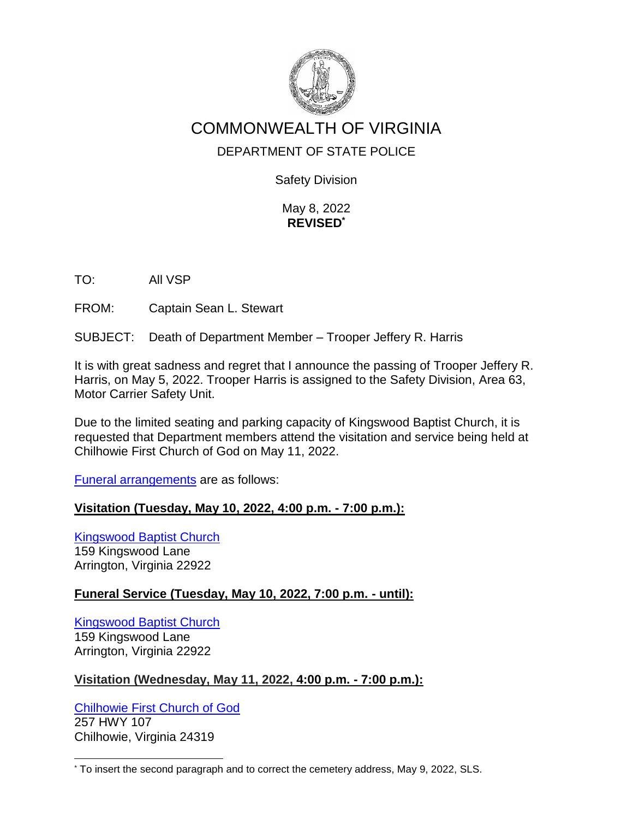

# COMMONWEALTH OF VIRGINIA

## DEPARTMENT OF STATE POLICE

Safety Division

May 8, 2022 **REVISED\***

TO: All VSP

FROM: Captain Sean L. Stewart

SUBJECT: Death of Department Member – Trooper Jeffery R. Harris

It is with great sadness and regret that I announce the passing of Trooper Jeffery R. Harris, on May 5, 2022. Trooper Harris is assigned to the Safety Division, Area 63, Motor Carrier Safety Unit.

Due to the limited seating and parking capacity of Kingswood Baptist Church, it is requested that Department members attend the visitation and service being held at Chilhowie First Church of God on May 11, 2022.

Funeral arrangements are as follows:

#### **Visitation (Tuesday, May 10, 2022, 4:00 p.m. - 7:00 p.m.):**

Kingswood Baptist Church 159 Kingswood Lane Arrington, Virginia 22922

## **Funeral Service (Tuesday, May 10, 2022, 7:00 p.m. - until):**

Kingswood Baptist Church 159 Kingswood Lane Arrington, Virginia 22922

## **Visitation (Wednesday, May 11, 2022, 4:00 p.m. - 7:00 p.m.):**

Chilhowie First Church of God 257 HWY 107 Chilhowie, Virginia 24319

l

<sup>\*</sup> To insert the second paragraph and to correct the cemetery address, May 9, 2022, SLS.